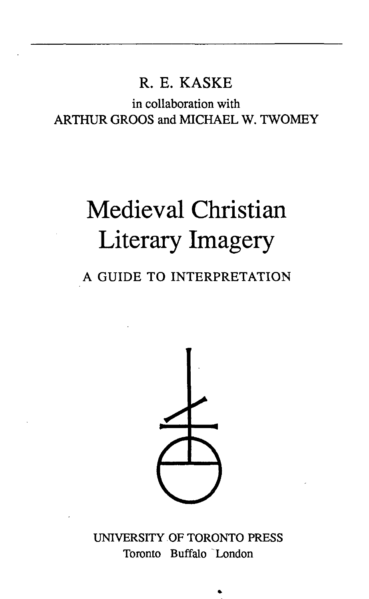### R. E. KASKE

in collaboration with ARTHUR GROOS and MICHAEL W. TWOMEY

# Medieval Christian Literary Imagery

## A GUIDE TO INTERPRETATION



UNIVERSITY OF TORONTO PRESS Toronto Buffalo London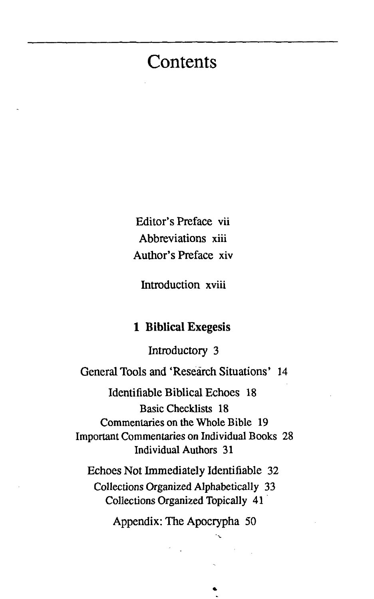# **Contents**

Editor's Preface vii Abbreviations xiii Author's Preface xiv

Introduction xviii

#### **1 Biblical Exegesis**

Introductory 3

General Tools and 'Research Situations' 14

Identifiable Biblical Echoes 18 Basic Checklists 18 Commentaries on the Whole Bible 19 Important Commentaries on Individual Books 28 Individual Authors 31

Echoes Not Immediately Identifiable 32 Collections Organized Alphabetically 33 Collections Organized Topically 41

Appendix: The Apocrypha 50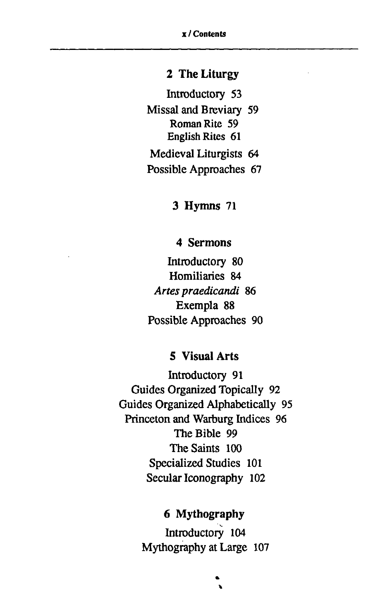#### **2 The Liturgy**

Introductory 53 Missal and Breviary 59 Roman Rite 59 English Rites 61 Medieval Liturgists 64 Possible Approaches 67

**3 Hymns** 71

#### **4 Sermons**

Introductory 80 Homiliaries 84 *Artes praedicandi* 86 Exempla 88 Possible Approaches 90

#### **5 Visual Arts**

Introductory 91 Guides Organized Topically 92 Guides Organized Alphabetically 95 Princeton and Warburg Indices 96 The Bible 99 The Saints 100 Specialized Studies 101 Secular Iconography 102

#### **6 Mythography**

Introductory 104 Mythography at Large 107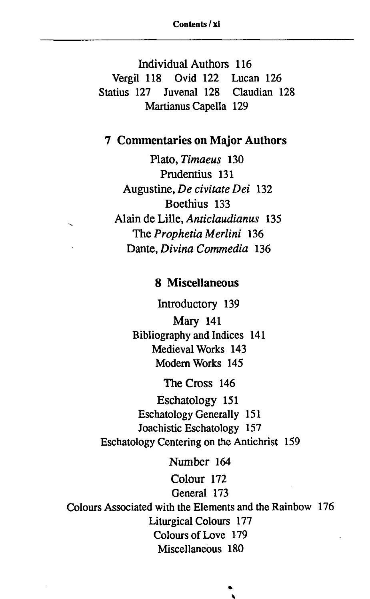Individual Authors 116 Vergil 118 Ovid 122 Lucan 126 Statius 127 Juvenal 128 Claudian 128 Martianus Capella 129

#### **7 Commentaries on Major Authors**

Plato, *Timaeus* 130 Prudentius 131 Augustine, *De civitate Dei* 132 Boethius 133 Alain de Lille, *Anticlaudianus* 135 The *Prophetia Merlini* 136 Dante, *Divina Commedia* 136

#### **8 Miscellaneous**

Introductory 139 Mary 141 Bibliography and Indices 141 Medieval Works 143 Modern Works 145

The Cross 146

Eschatology 151 Eschatology Generally 151 Joachistic Eschatology 157 Eschatology Centering on the Antichrist 159

Number 164 Colour 172 General 173 Colours Associated with the Elements and the Rainbow 176 Liturgical Colours 177 Colours of Love 179 Miscellaneous 180